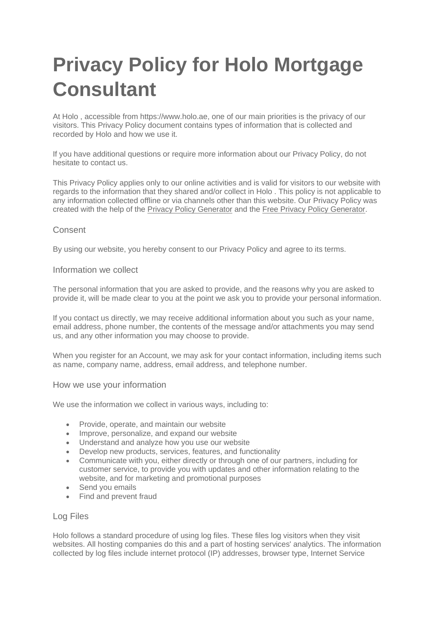# **Privacy Policy for Holo Mortgage Consultant**

At Holo , accessible from https://www.holo.ae, one of our main priorities is the privacy of our visitors. This Privacy Policy document contains types of information that is collected and recorded by Holo and how we use it.

If you have additional questions or require more information about our Privacy Policy, do not hesitate to contact us.

This Privacy Policy applies only to our online activities and is valid for visitors to our website with regards to the information that they shared and/or collect in Holo . This policy is not applicable to any information collected offline or via channels other than this website. Our Privacy Policy was created with the help of the [Privacy Policy Generator](https://www.privacypolicygenerator.info/) and the [Free Privacy Policy Generator.](https://www.privacypolicyonline.com/privacy-policy-generator/)

# Consent

By using our website, you hereby consent to our Privacy Policy and agree to its terms.

# Information we collect

The personal information that you are asked to provide, and the reasons why you are asked to provide it, will be made clear to you at the point we ask you to provide your personal information.

If you contact us directly, we may receive additional information about you such as your name, email address, phone number, the contents of the message and/or attachments you may send us, and any other information you may choose to provide.

When you register for an Account, we may ask for your contact information, including items such as name, company name, address, email address, and telephone number.

### How we use your information

We use the information we collect in various ways, including to:

- Provide, operate, and maintain our website
- Improve, personalize, and expand our website
- Understand and analyze how you use our website
- Develop new products, services, features, and functionality
- Communicate with you, either directly or through one of our partners, including for customer service, to provide you with updates and other information relating to the website, and for marketing and promotional purposes
- Send you emails
- Find and prevent fraud

# Log Files

Holo follows a standard procedure of using log files. These files log visitors when they visit websites. All hosting companies do this and a part of hosting services' analytics. The information collected by log files include internet protocol (IP) addresses, browser type, Internet Service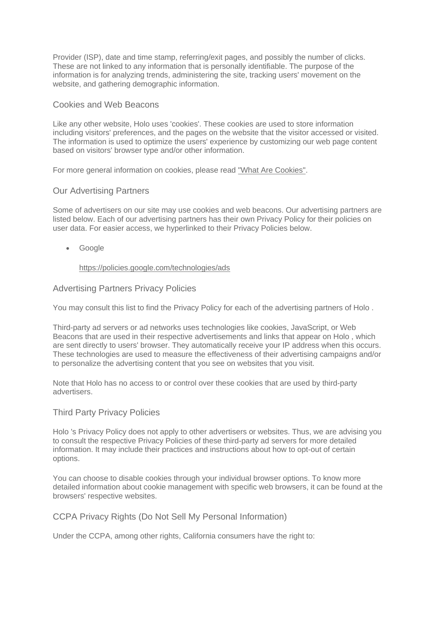Provider (ISP), date and time stamp, referring/exit pages, and possibly the number of clicks. These are not linked to any information that is personally identifiable. The purpose of the information is for analyzing trends, administering the site, tracking users' movement on the website, and gathering demographic information.

## Cookies and Web Beacons

Like any other website, Holo uses 'cookies'. These cookies are used to store information including visitors' preferences, and the pages on the website that the visitor accessed or visited. The information is used to optimize the users' experience by customizing our web page content based on visitors' browser type and/or other information.

For more general information on cookies, please read ["What Are Cookies".](https://www.cookieconsent.com/what-are-cookies/)

## Our Advertising Partners

Some of advertisers on our site may use cookies and web beacons. Our advertising partners are listed below. Each of our advertising partners has their own Privacy Policy for their policies on user data. For easier access, we hyperlinked to their Privacy Policies below.

• Google

### <https://policies.google.com/technologies/ads>

## Advertising Partners Privacy Policies

You may consult this list to find the Privacy Policy for each of the advertising partners of Holo.

Third-party ad servers or ad networks uses technologies like cookies, JavaScript, or Web Beacons that are used in their respective advertisements and links that appear on Holo , which are sent directly to users' browser. They automatically receive your IP address when this occurs. These technologies are used to measure the effectiveness of their advertising campaigns and/or to personalize the advertising content that you see on websites that you visit.

Note that Holo has no access to or control over these cookies that are used by third-party advertisers.

### Third Party Privacy Policies

Holo 's Privacy Policy does not apply to other advertisers or websites. Thus, we are advising you to consult the respective Privacy Policies of these third-party ad servers for more detailed information. It may include their practices and instructions about how to opt-out of certain options.

You can choose to disable cookies through your individual browser options. To know more detailed information about cookie management with specific web browsers, it can be found at the browsers' respective websites.

CCPA Privacy Rights (Do Not Sell My Personal Information)

Under the CCPA, among other rights, California consumers have the right to: